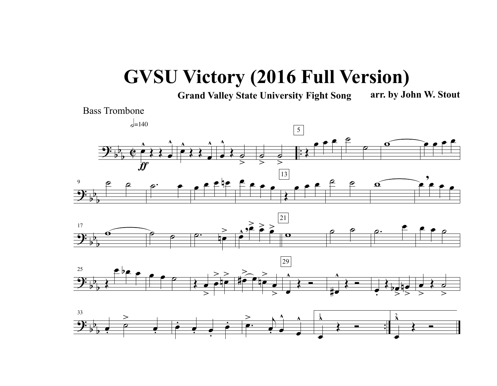## **GVSU Victory (2016 Full Version)**

**Grand Valley State University Fight Song arr. by John W. Stout**



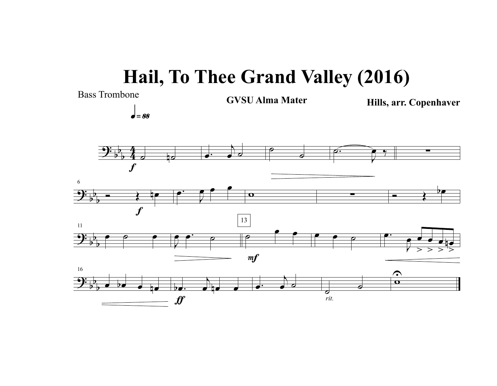## **Hail, To Thee Grand Valley (2016)**

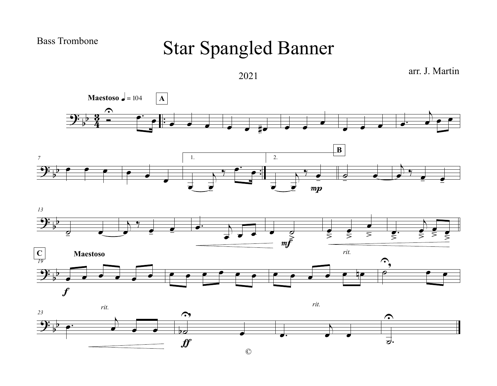## Bass Trombone

## Star Spangled Banner



©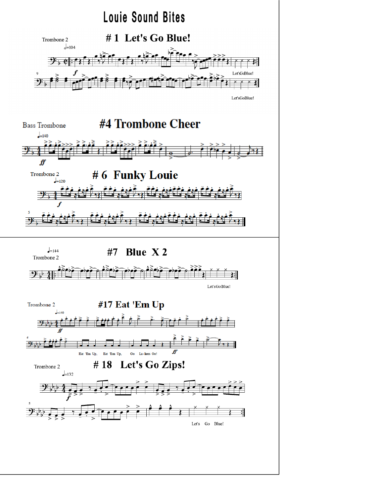